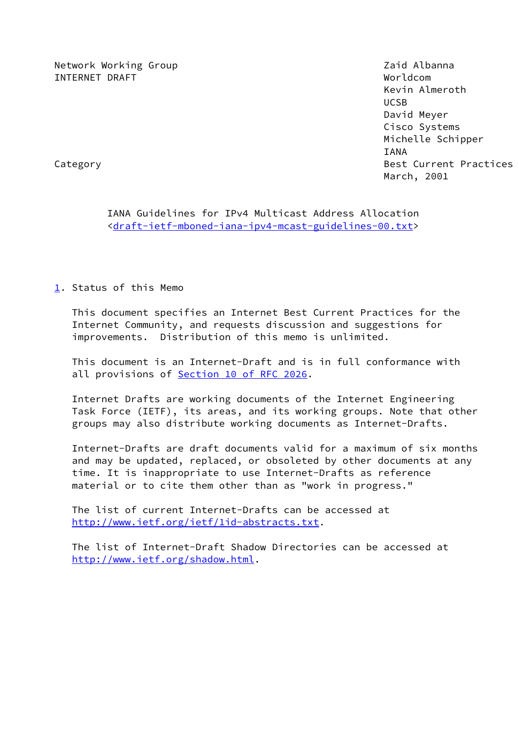Network Working Group **Network Working Albanna** INTERNET DRAFT Worldcom

 Kevin Almeroth UCSB David Meyer Cisco Systems Michelle Schipper IANA Category **Best Current Practices** March, 2001

 IANA Guidelines for IPv4 Multicast Address Allocation <[draft-ietf-mboned-iana-ipv4-mcast-guidelines-00.txt](https://datatracker.ietf.org/doc/pdf/draft-ietf-mboned-iana-ipv4-mcast-guidelines-00.txt)>

<span id="page-0-0"></span>[1](#page-0-0). Status of this Memo

 This document specifies an Internet Best Current Practices for the Internet Community, and requests discussion and suggestions for improvements. Distribution of this memo is unlimited.

 This document is an Internet-Draft and is in full conformance with all provisions of **Section [10 of RFC 2026](https://datatracker.ietf.org/doc/pdf/rfc2026#section-10).** 

 Internet Drafts are working documents of the Internet Engineering Task Force (IETF), its areas, and its working groups. Note that other groups may also distribute working documents as Internet-Drafts.

 Internet-Drafts are draft documents valid for a maximum of six months and may be updated, replaced, or obsoleted by other documents at any time. It is inappropriate to use Internet-Drafts as reference material or to cite them other than as "work in progress."

 The list of current Internet-Drafts can be accessed at <http://www.ietf.org/ietf/1id-abstracts.txt>.

 The list of Internet-Draft Shadow Directories can be accessed at <http://www.ietf.org/shadow.html>.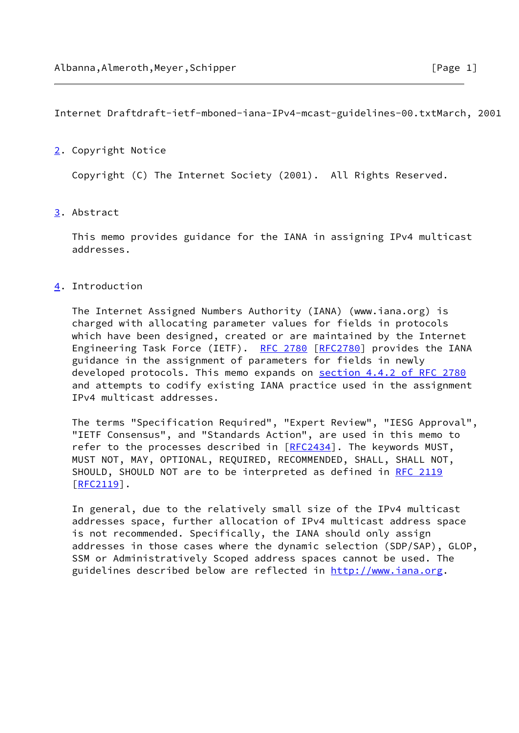Internet Draftdraft-ietf-mboned-iana-IPv4-mcast-guidelines-00.txtMarch, 2001

## <span id="page-1-0"></span>[2](#page-1-0). Copyright Notice

Copyright (C) The Internet Society (2001). All Rights Reserved.

## <span id="page-1-1"></span>[3](#page-1-1). Abstract

 This memo provides guidance for the IANA in assigning IPv4 multicast addresses.

## <span id="page-1-2"></span>[4](#page-1-2). Introduction

 The Internet Assigned Numbers Authority (IANA) (www.iana.org) is charged with allocating parameter values for fields in protocols which have been designed, created or are maintained by the Internet Engineering Task Force (IETF). [RFC 2780](https://datatracker.ietf.org/doc/pdf/rfc2780) [\[RFC2780](https://datatracker.ietf.org/doc/pdf/rfc2780)] provides the IANA guidance in the assignment of parameters for fields in newly developed protocols. This memo expands on section [4.4.2 of RFC 2780](https://datatracker.ietf.org/doc/pdf/rfc2780#section-4.4.2) and attempts to codify existing IANA practice used in the assignment IPv4 multicast addresses.

 The terms "Specification Required", "Expert Review", "IESG Approval", "IETF Consensus", and "Standards Action", are used in this memo to refer to the processes described in [\[RFC2434](https://datatracker.ietf.org/doc/pdf/rfc2434)]. The keywords MUST, MUST NOT, MAY, OPTIONAL, REQUIRED, RECOMMENDED, SHALL, SHALL NOT, SHOULD, SHOULD NOT are to be interpreted as defined in [RFC 2119](https://datatracker.ietf.org/doc/pdf/rfc2119) [\[RFC2119](https://datatracker.ietf.org/doc/pdf/rfc2119)].

 In general, due to the relatively small size of the IPv4 multicast addresses space, further allocation of IPv4 multicast address space is not recommended. Specifically, the IANA should only assign addresses in those cases where the dynamic selection (SDP/SAP), GLOP, SSM or Administratively Scoped address spaces cannot be used. The guidelines described below are reflected in [http://www.iana.org.](http://www.iana.org)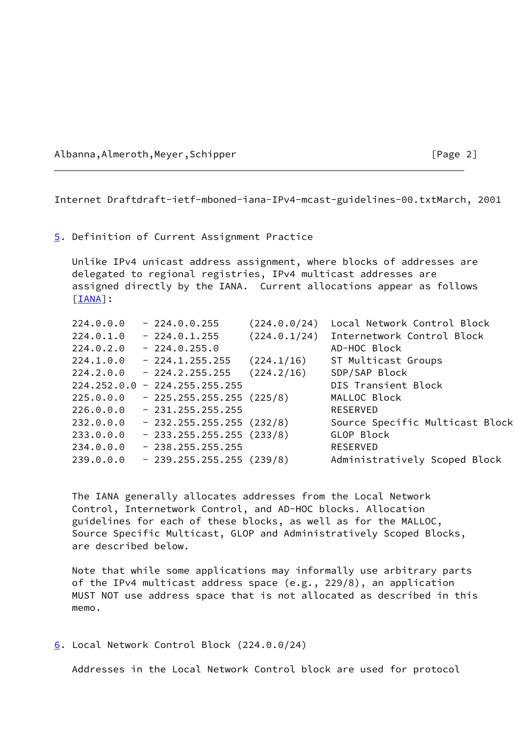Albanna,Almeroth,Meyer,Schipper [Page 2]

Internet Draftdraft-ietf-mboned-iana-IPv4-mcast-guidelines-00.txtMarch, 2001

#### <span id="page-2-0"></span>[5](#page-2-0). Definition of Current Assignment Practice

 Unlike IPv4 unicast address assignment, where blocks of addresses are delegated to regional registries, IPv4 multicast addresses are assigned directly by the IANA. Current allocations appear as follows [\[IANA](#page-9-0)]:

| 224.0.0.0 | $-224.0.0.255$                  | (224.0.0/24) | Local Network Control Block     |
|-----------|---------------------------------|--------------|---------------------------------|
| 224.0.1.0 | $-224.0.1.255$                  | (224.0.1/24) | Internetwork Control Block      |
| 224.0.2.0 | $-224.0.255.0$                  |              | AD-HOC Block                    |
| 224.1.0.0 | $-224.1.255.255$                | (224.1/16)   | ST Multicast Groups             |
| 224.2.0.0 | $-224.2.255.255$                | (224.2/16)   | SDP/SAP Block                   |
|           | $224.252.0.0 - 224.255.255.255$ |              | DIS Transient Block             |
| 225.0.0.0 | $-225.255.255.255(225/8)$       |              | MALLOC Block                    |
| 226.0.0.0 | $-231.255.255.255$              |              | <b>RESERVED</b>                 |
| 232.0.0.0 | $-232.255.255.255(232/8)$       |              | Source Specific Multicast Block |
| 233.0.0.0 | $-233.255.255.255(233/8)$       |              | GLOP Block                      |
| 234.0.0.0 | $-238.255.255.255$              |              | <b>RESERVED</b>                 |
| 239.0.0.0 | $-239.255.255.255(239/8)$       |              | Administratively Scoped Block   |
|           |                                 |              |                                 |

 The IANA generally allocates addresses from the Local Network Control, Internetwork Control, and AD-HOC blocks. Allocation guidelines for each of these blocks, as well as for the MALLOC, Source Specific Multicast, GLOP and Administratively Scoped Blocks, are described below.

 Note that while some applications may informally use arbitrary parts of the IPv4 multicast address space (e.g., 229/8), an application MUST NOT use address space that is not allocated as described in this memo.

<span id="page-2-1"></span>[6](#page-2-1). Local Network Control Block (224.0.0/24)

Addresses in the Local Network Control block are used for protocol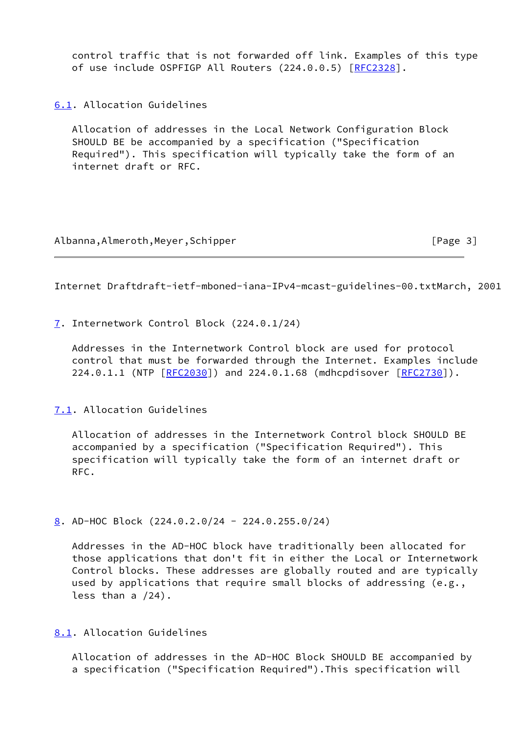control traffic that is not forwarded off link. Examples of this type of use include OSPFIGP All Routers (224.0.0.5) [\[RFC2328](https://datatracker.ietf.org/doc/pdf/rfc2328)].

<span id="page-3-0"></span>[6.1](#page-3-0). Allocation Guidelines

 Allocation of addresses in the Local Network Configuration Block SHOULD BE be accompanied by a specification ("Specification Required"). This specification will typically take the form of an internet draft or RFC.

Albanna,Almeroth,Meyer,Schipper [Page 3]

Internet Draftdraft-ietf-mboned-iana-IPv4-mcast-guidelines-00.txtMarch, 2001

<span id="page-3-1"></span>[7](#page-3-1). Internetwork Control Block (224.0.1/24)

 Addresses in the Internetwork Control block are used for protocol control that must be forwarded through the Internet. Examples include 224.0.1.1 (NTP [\[RFC2030](https://datatracker.ietf.org/doc/pdf/rfc2030)]) and 224.0.1.68 (mdhcpdisover [\[RFC2730](https://datatracker.ietf.org/doc/pdf/rfc2730)]).

<span id="page-3-2"></span>[7.1](#page-3-2). Allocation Guidelines

 Allocation of addresses in the Internetwork Control block SHOULD BE accompanied by a specification ("Specification Required"). This specification will typically take the form of an internet draft or RFC.

<span id="page-3-3"></span>[8](#page-3-3). AD-HOC Block (224.0.2.0/24 - 224.0.255.0/24)

 Addresses in the AD-HOC block have traditionally been allocated for those applications that don't fit in either the Local or Internetwork Control blocks. These addresses are globally routed and are typically used by applications that require small blocks of addressing (e.g., less than a /24).

<span id="page-3-4"></span>[8.1](#page-3-4). Allocation Guidelines

 Allocation of addresses in the AD-HOC Block SHOULD BE accompanied by a specification ("Specification Required").This specification will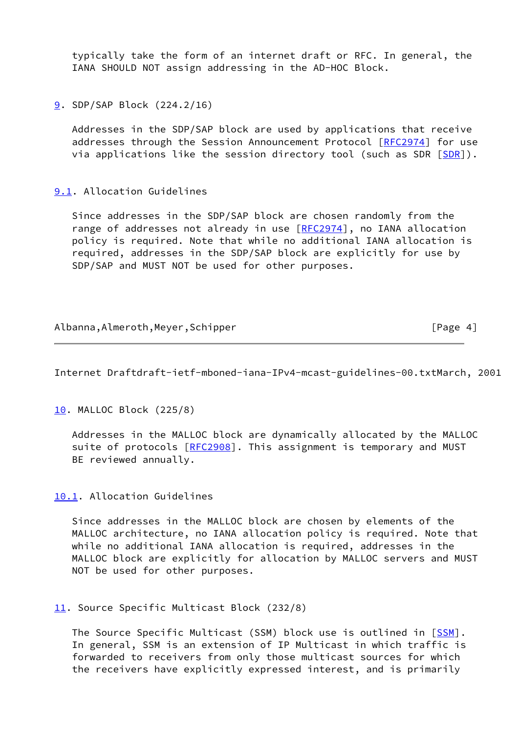typically take the form of an internet draft or RFC. In general, the IANA SHOULD NOT assign addressing in the AD-HOC Block.

<span id="page-4-0"></span>[9](#page-4-0). SDP/SAP Block (224.2/16)

 Addresses in the SDP/SAP block are used by applications that receive addresses through the Session Announcement Protocol [\[RFC2974](https://datatracker.ietf.org/doc/pdf/rfc2974)] for use via applications like the session directory tool (such as [SDR](#page-10-0)  $[SDR]$ ).

# <span id="page-4-1"></span>[9.1](#page-4-1). Allocation Guidelines

 Since addresses in the SDP/SAP block are chosen randomly from the range of addresses not already in use [[RFC2974](https://datatracker.ietf.org/doc/pdf/rfc2974)], no IANA allocation policy is required. Note that while no additional IANA allocation is required, addresses in the SDP/SAP block are explicitly for use by SDP/SAP and MUST NOT be used for other purposes.

# Albanna,Almeroth,Meyer,Schipper [Page 4]

Internet Draftdraft-ietf-mboned-iana-IPv4-mcast-guidelines-00.txtMarch, 2001

<span id="page-4-2"></span>[10.](#page-4-2) MALLOC Block (225/8)

 Addresses in the MALLOC block are dynamically allocated by the MALLOC suite of protocols [[RFC2908\]](https://datatracker.ietf.org/doc/pdf/rfc2908). This assignment is temporary and MUST BE reviewed annually.

<span id="page-4-3"></span>[10.1](#page-4-3). Allocation Guidelines

 Since addresses in the MALLOC block are chosen by elements of the MALLOC architecture, no IANA allocation policy is required. Note that while no additional IANA allocation is required, addresses in the MALLOC block are explicitly for allocation by MALLOC servers and MUST NOT be used for other purposes.

## <span id="page-4-4"></span>[11.](#page-4-4) Source Specific Multicast Block (232/8)

The Source Specific Multicast (SSM) block use is outlined in [\[SSM](#page-10-1)]. In general, SSM is an extension of IP Multicast in which traffic is forwarded to receivers from only those multicast sources for which the receivers have explicitly expressed interest, and is primarily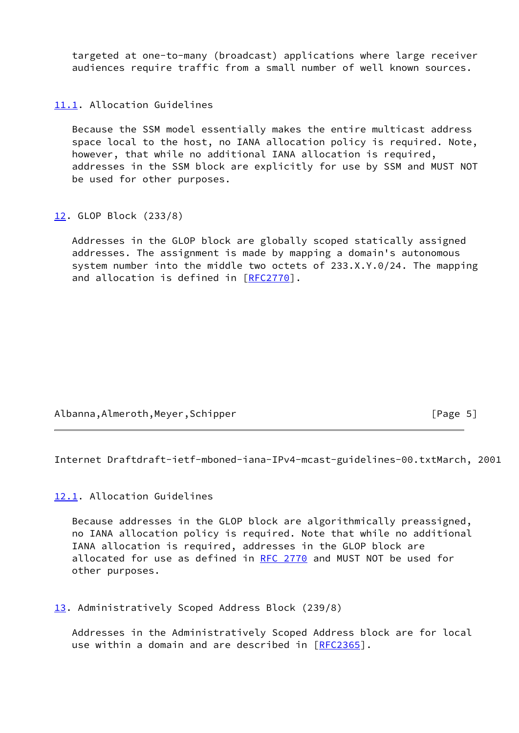targeted at one-to-many (broadcast) applications where large receiver audiences require traffic from a small number of well known sources.

<span id="page-5-0"></span>[11.1](#page-5-0). Allocation Guidelines

 Because the SSM model essentially makes the entire multicast address space local to the host, no IANA allocation policy is required. Note, however, that while no additional IANA allocation is required, addresses in the SSM block are explicitly for use by SSM and MUST NOT be used for other purposes.

<span id="page-5-1"></span>[12.](#page-5-1) GLOP Block (233/8)

 Addresses in the GLOP block are globally scoped statically assigned addresses. The assignment is made by mapping a domain's autonomous system number into the middle two octets of 233.X.Y.0/24. The mapping and allocation is defined in [\[RFC2770](https://datatracker.ietf.org/doc/pdf/rfc2770)].

Albanna,Almeroth,Meyer,Schipper [Page 5]

Internet Draftdraft-ietf-mboned-iana-IPv4-mcast-guidelines-00.txtMarch, 2001

<span id="page-5-2"></span>[12.1](#page-5-2). Allocation Guidelines

 Because addresses in the GLOP block are algorithmically preassigned, no IANA allocation policy is required. Note that while no additional IANA allocation is required, addresses in the GLOP block are allocated for use as defined in [RFC 2770](https://datatracker.ietf.org/doc/pdf/rfc2770) and MUST NOT be used for other purposes.

<span id="page-5-3"></span>[13.](#page-5-3) Administratively Scoped Address Block (239/8)

 Addresses in the Administratively Scoped Address block are for local use within a domain and are described in [\[RFC2365](https://datatracker.ietf.org/doc/pdf/rfc2365)].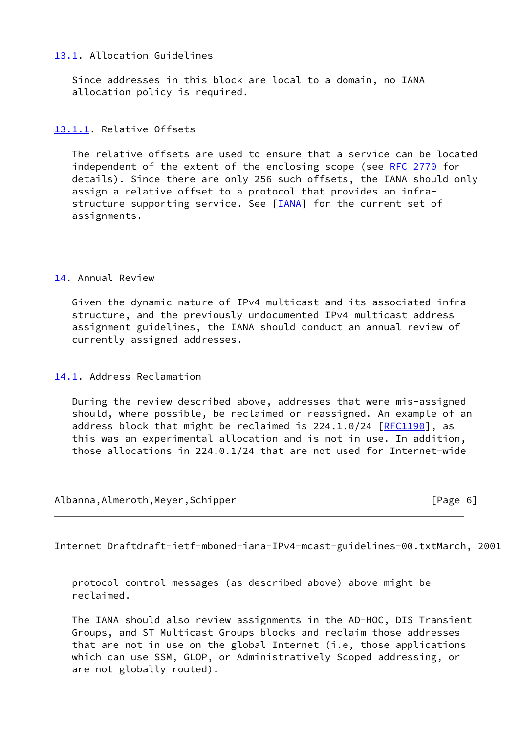# <span id="page-6-0"></span>[13.1](#page-6-0). Allocation Guidelines

 Since addresses in this block are local to a domain, no IANA allocation policy is required.

# <span id="page-6-1"></span>[13.1.1](#page-6-1). Relative Offsets

 The relative offsets are used to ensure that a service can be located independent of the extent of the enclosing scope (see [RFC 2770](https://datatracker.ietf.org/doc/pdf/rfc2770) for details). Since there are only 256 such offsets, the IANA should only assign a relative offset to a protocol that provides an infra- structure supporting service. See [[IANA\]](#page-9-0) for the current set of assignments.

# <span id="page-6-2"></span>[14.](#page-6-2) Annual Review

 Given the dynamic nature of IPv4 multicast and its associated infra structure, and the previously undocumented IPv4 multicast address assignment guidelines, the IANA should conduct an annual review of currently assigned addresses.

<span id="page-6-3"></span>[14.1](#page-6-3). Address Reclamation

 During the review described above, addresses that were mis-assigned should, where possible, be reclaimed or reassigned. An example of an address block that might be reclaimed is  $224.1.0/24$   $[REC1190]$ , as this was an experimental allocation and is not in use. In addition, those allocations in 224.0.1/24 that are not used for Internet-wide

Albanna,Almeroth,Meyer,Schipper [Page 6]

Internet Draftdraft-ietf-mboned-iana-IPv4-mcast-guidelines-00.txtMarch, 2001

 protocol control messages (as described above) above might be reclaimed.

 The IANA should also review assignments in the AD-HOC, DIS Transient Groups, and ST Multicast Groups blocks and reclaim those addresses that are not in use on the global Internet (i.e, those applications which can use SSM, GLOP, or Administratively Scoped addressing, or are not globally routed).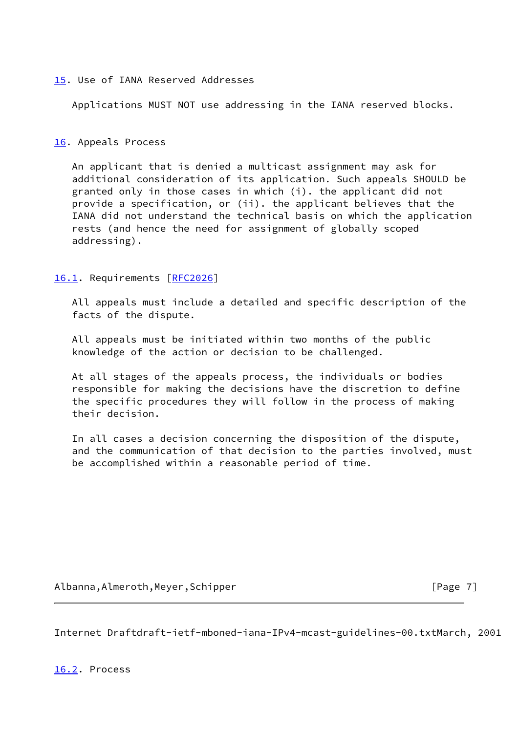## <span id="page-7-0"></span>[15.](#page-7-0) Use of IANA Reserved Addresses

Applications MUST NOT use addressing in the IANA reserved blocks.

### <span id="page-7-1"></span>[16.](#page-7-1) Appeals Process

 An applicant that is denied a multicast assignment may ask for additional consideration of its application. Such appeals SHOULD be granted only in those cases in which (i). the applicant did not provide a specification, or (ii). the applicant believes that the IANA did not understand the technical basis on which the application rests (and hence the need for assignment of globally scoped addressing).

### <span id="page-7-2"></span>[16.1](#page-7-2). Requirements [\[RFC2026](https://datatracker.ietf.org/doc/pdf/rfc2026)]

 All appeals must include a detailed and specific description of the facts of the dispute.

 All appeals must be initiated within two months of the public knowledge of the action or decision to be challenged.

 At all stages of the appeals process, the individuals or bodies responsible for making the decisions have the discretion to define the specific procedures they will follow in the process of making their decision.

 In all cases a decision concerning the disposition of the dispute, and the communication of that decision to the parties involved, must be accomplished within a reasonable period of time.

Albanna,Almeroth,Meyer,Schipper [Page 7]

Internet Draftdraft-ietf-mboned-iana-IPv4-mcast-guidelines-00.txtMarch, 2001

<span id="page-7-3"></span>[16.2](#page-7-3). Process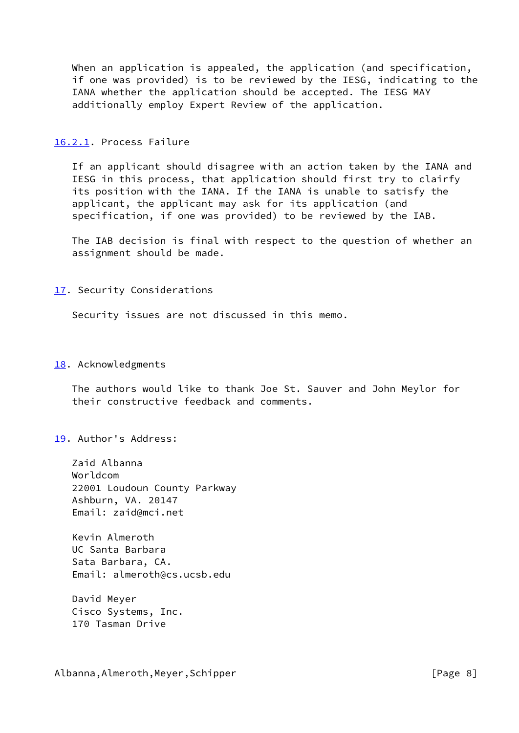When an application is appealed, the application (and specification, if one was provided) is to be reviewed by the IESG, indicating to the IANA whether the application should be accepted. The IESG MAY additionally employ Expert Review of the application.

### <span id="page-8-0"></span>[16.2.1](#page-8-0). Process Failure

 If an applicant should disagree with an action taken by the IANA and IESG in this process, that application should first try to clairfy its position with the IANA. If the IANA is unable to satisfy the applicant, the applicant may ask for its application (and specification, if one was provided) to be reviewed by the IAB.

 The IAB decision is final with respect to the question of whether an assignment should be made.

### <span id="page-8-1"></span>[17.](#page-8-1) Security Considerations

Security issues are not discussed in this memo.

#### <span id="page-8-2"></span>[18.](#page-8-2) Acknowledgments

 The authors would like to thank Joe St. Sauver and John Meylor for their constructive feedback and comments.

<span id="page-8-3"></span>[19.](#page-8-3) Author's Address:

 Zaid Albanna Worldcom 22001 Loudoun County Parkway Ashburn, VA. 20147 Email: zaid@mci.net

 Kevin Almeroth UC Santa Barbara Sata Barbara, CA. Email: almeroth@cs.ucsb.edu

 David Meyer Cisco Systems, Inc. 170 Tasman Drive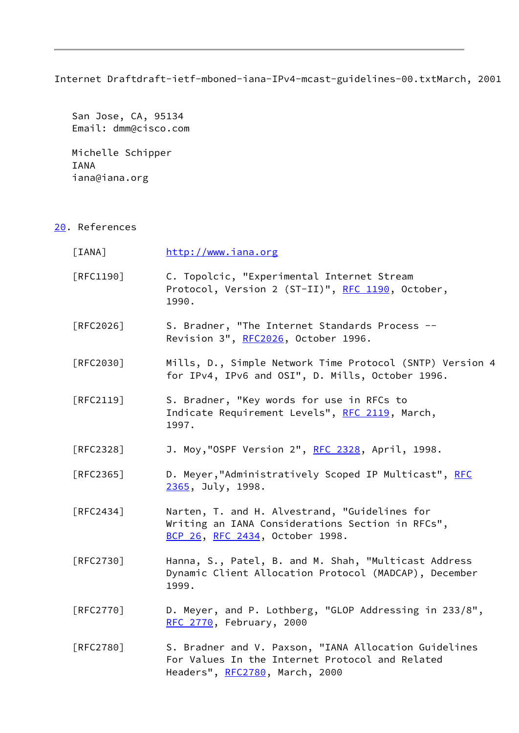Internet Draftdraft-ietf-mboned-iana-IPv4-mcast-guidelines-00.txtMarch, 2001

 San Jose, CA, 95134 Email: dmm@cisco.com

 Michelle Schipper IANA iana@iana.org

<span id="page-9-1"></span>[20.](#page-9-1) References

<span id="page-9-0"></span>

| [IANA]            | http://www.iana.org                                                                                                                        |
|-------------------|--------------------------------------------------------------------------------------------------------------------------------------------|
| [RFC1190]         | C. Topolcic, "Experimental Internet Stream<br>Protocol, Version 2 (ST-II)", RFC 1190, October,<br>1990.                                    |
| [RFC2026]         | S. Bradner, "The Internet Standards Process --<br>Revision 3", RFC2026, October 1996.                                                      |
| [RFC2030]         | Mills, D., Simple Network Time Protocol (SNTP) Version 4<br>for IPv4, IPv6 and OSI", D. Mills, October 1996.                               |
| $[RFC2119]$       | S. Bradner, "Key words for use in RFCs to<br>Indicate Requirement Levels", RFC 2119, March,<br>1997.                                       |
| [RFC2328]         | J. Moy, "OSPF Version 2", RFC 2328, April, 1998.                                                                                           |
| [RFC2365]         | D. Meyer, "Administratively Scoped IP Multicast", RFC<br>2365, July, 1998.                                                                 |
| $\lceil$ RFC2434] | Narten, T. and H. Alvestrand, "Guidelines for<br>Writing an IANA Considerations Section in RFCs",<br>BCP 26, RFC 2434, October 1998.       |
| [RFC2730]         | Hanna, S., Patel, B. and M. Shah, "Multicast Address<br>Dynamic Client Allocation Protocol (MADCAP), December<br>1999.                     |
| [RFC2770]         | D. Meyer, and P. Lothberg, "GLOP Addressing in 233/8",<br>RFC 2770, February, 2000                                                         |
| [RFC2780]         | S. Bradner and V. Paxson, "IANA Allocation Guidelines<br>For Values In the Internet Protocol and Related<br>Headers", RFC2780, March, 2000 |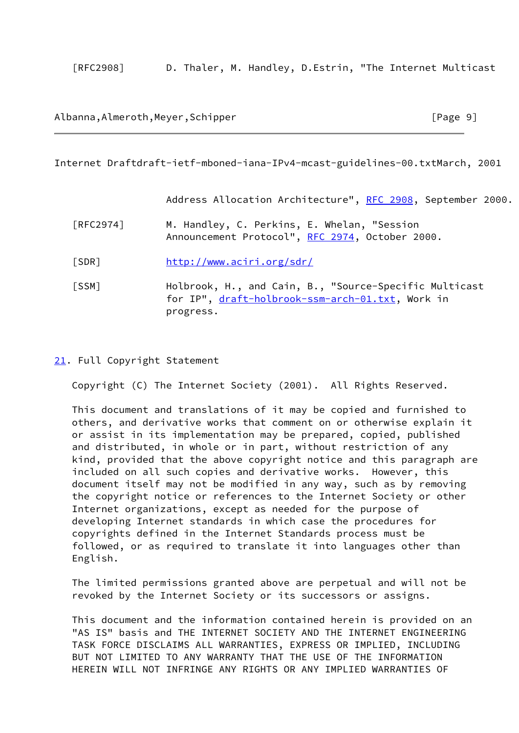[RFC2908] D. Thaler, M. Handley, D.Estrin, "The Internet Multicast

### Albanna,Almeroth,Meyer,Schipper [Page 9]

Internet Draftdraft-ietf-mboned-iana-IPv4-mcast-guidelines-00.txtMarch, 2001

Address Allocation Architecture", [RFC 2908](https://datatracker.ietf.org/doc/pdf/rfc2908), September 2000.

- [RFC2974] M. Handley, C. Perkins, E. Whelan, "Session Announcement Protocol", [RFC 2974](https://datatracker.ietf.org/doc/pdf/rfc2974), October 2000.
- <span id="page-10-0"></span>[SDR] <http://www.aciri.org/sdr/>
- <span id="page-10-1"></span> [SSM] Holbrook, H., and Cain, B., "Source-Specific Multicast for IP", [draft-holbrook-ssm-arch-01.txt](https://datatracker.ietf.org/doc/pdf/draft-holbrook-ssm-arch-01.txt), Work in progress.

#### <span id="page-10-2"></span>[21.](#page-10-2) Full Copyright Statement

Copyright (C) The Internet Society (2001). All Rights Reserved.

 This document and translations of it may be copied and furnished to others, and derivative works that comment on or otherwise explain it or assist in its implementation may be prepared, copied, published and distributed, in whole or in part, without restriction of any kind, provided that the above copyright notice and this paragraph are included on all such copies and derivative works. However, this document itself may not be modified in any way, such as by removing the copyright notice or references to the Internet Society or other Internet organizations, except as needed for the purpose of developing Internet standards in which case the procedures for copyrights defined in the Internet Standards process must be followed, or as required to translate it into languages other than English.

 The limited permissions granted above are perpetual and will not be revoked by the Internet Society or its successors or assigns.

 This document and the information contained herein is provided on an "AS IS" basis and THE INTERNET SOCIETY AND THE INTERNET ENGINEERING TASK FORCE DISCLAIMS ALL WARRANTIES, EXPRESS OR IMPLIED, INCLUDING BUT NOT LIMITED TO ANY WARRANTY THAT THE USE OF THE INFORMATION HEREIN WILL NOT INFRINGE ANY RIGHTS OR ANY IMPLIED WARRANTIES OF